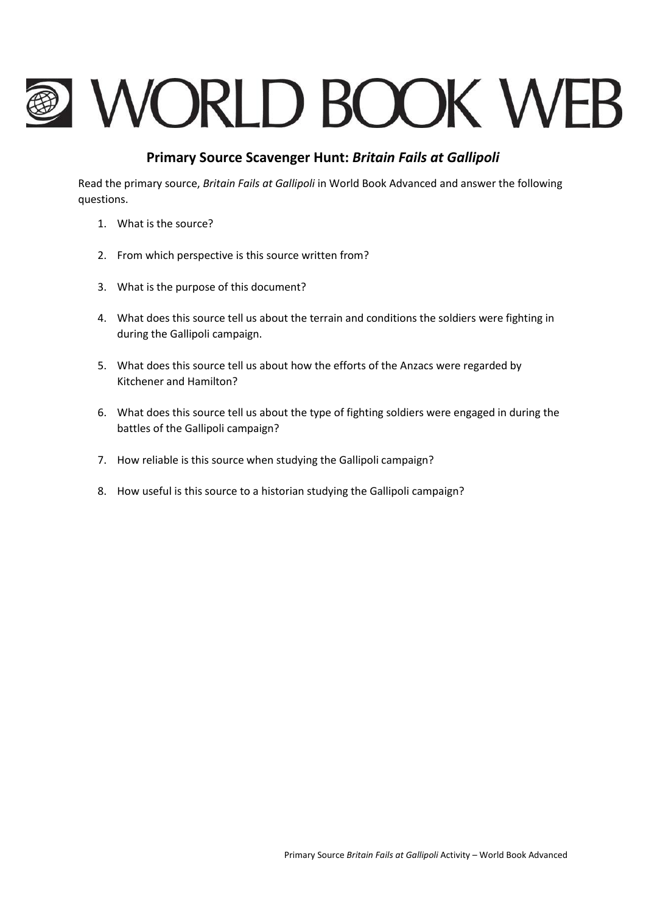# **@ WORLD BOOK WEB**

# **Primary Source Scavenger Hunt:** *Britain Fails at Gallipoli*

Read the primary source, *Britain Fails at Gallipoli* in World Book Advanced and answer the following questions.

- 1. What is the source?
- 2. From which perspective is this source written from?
- 3. What is the purpose of this document?
- 4. What does this source tell us about the terrain and conditions the soldiers were fighting in during the Gallipoli campaign.
- 5. What does this source tell us about how the efforts of the Anzacs were regarded by Kitchener and Hamilton?
- 6. What does this source tell us about the type of fighting soldiers were engaged in during the battles of the Gallipoli campaign?
- 7. How reliable is this source when studying the Gallipoli campaign?
- 8. How useful is this source to a historian studying the Gallipoli campaign?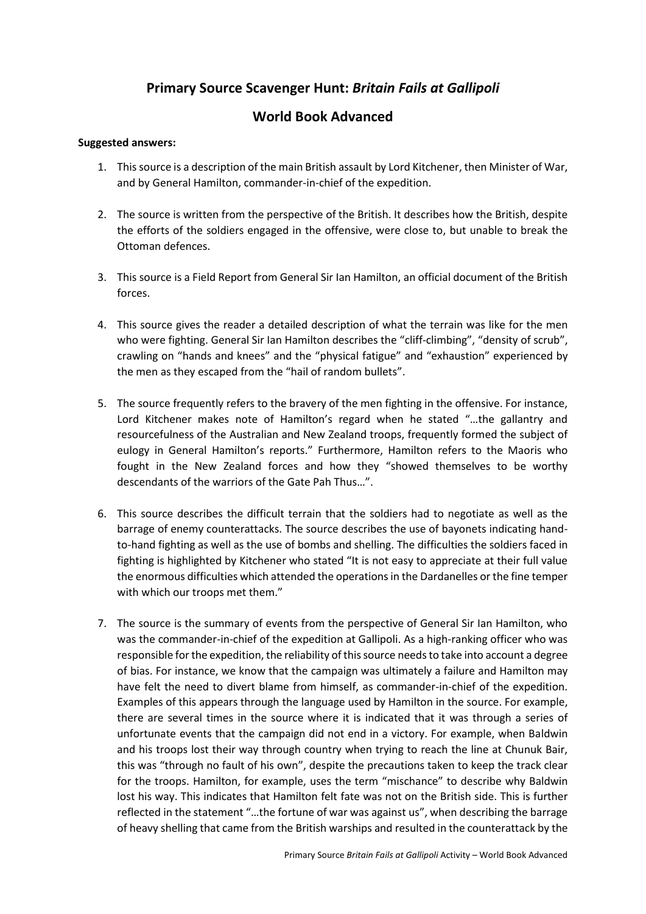# **Primary Source Scavenger Hunt:** *Britain Fails at Gallipoli*

### **World Book Advanced**

### **Suggested answers:**

- 1. This source is a description of the main British assault by Lord Kitchener, then Minister of War, and by General Hamilton, commander-in-chief of the expedition.
- 2. The source is written from the perspective of the British. It describes how the British, despite the efforts of the soldiers engaged in the offensive, were close to, but unable to break the Ottoman defences.
- 3. This source is a Field Report from General Sir Ian Hamilton, an official document of the British forces.
- 4. This source gives the reader a detailed description of what the terrain was like for the men who were fighting. General Sir Ian Hamilton describes the "cliff-climbing", "density of scrub", crawling on "hands and knees" and the "physical fatigue" and "exhaustion" experienced by the men as they escaped from the "hail of random bullets".
- 5. The source frequently refers to the bravery of the men fighting in the offensive. For instance, Lord Kitchener makes note of Hamilton's regard when he stated "…the gallantry and resourcefulness of the Australian and New Zealand troops, frequently formed the subject of eulogy in General Hamilton's reports." Furthermore, Hamilton refers to the Maoris who fought in the New Zealand forces and how they "showed themselves to be worthy descendants of the warriors of the Gate Pah Thus…".
- 6. This source describes the difficult terrain that the soldiers had to negotiate as well as the barrage of enemy counterattacks. The source describes the use of bayonets indicating handto-hand fighting as well as the use of bombs and shelling. The difficulties the soldiers faced in fighting is highlighted by Kitchener who stated "It is not easy to appreciate at their full value the enormous difficulties which attended the operations in the Dardanelles or the fine temper with which our troops met them."
- 7. The source is the summary of events from the perspective of General Sir Ian Hamilton, who was the commander-in-chief of the expedition at Gallipoli. As a high-ranking officer who was responsible for the expedition, the reliability of this source needs to take into account a degree of bias. For instance, we know that the campaign was ultimately a failure and Hamilton may have felt the need to divert blame from himself, as commander-in-chief of the expedition. Examples of this appears through the language used by Hamilton in the source. For example, there are several times in the source where it is indicated that it was through a series of unfortunate events that the campaign did not end in a victory. For example, when Baldwin and his troops lost their way through country when trying to reach the line at Chunuk Bair, this was "through no fault of his own", despite the precautions taken to keep the track clear for the troops. Hamilton, for example, uses the term "mischance" to describe why Baldwin lost his way. This indicates that Hamilton felt fate was not on the British side. This is further reflected in the statement "…the fortune of war was against us", when describing the barrage of heavy shelling that came from the British warships and resulted in the counterattack by the